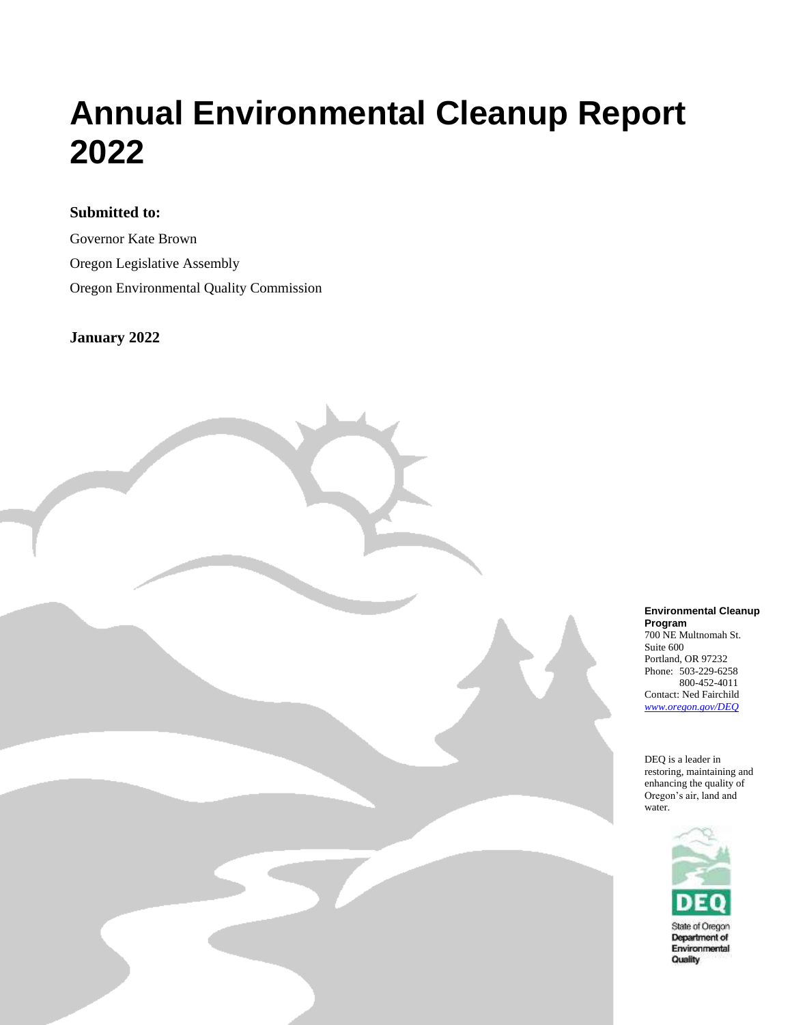### **Submitted to:**

Governor Kate Brown Oregon Legislative Assembly Oregon Environmental Quality Commission

Oregon Department of Environmental Quality

#### **January 2022**



#### **Environmental Cleanup Program** 700 NE Multnomah St. Suite 600 Portland, OR 97232 Phone: 503-229-6258 800-452-4011 Contact: Ned Fairchild *[www.oregon.gov/DEQ](file://///deq000/Templates/General/www.oregon.gov/DEQ)*

DEQ is a leader in restoring, maintaining and enhancing the quality of Oregon's air, land and water.

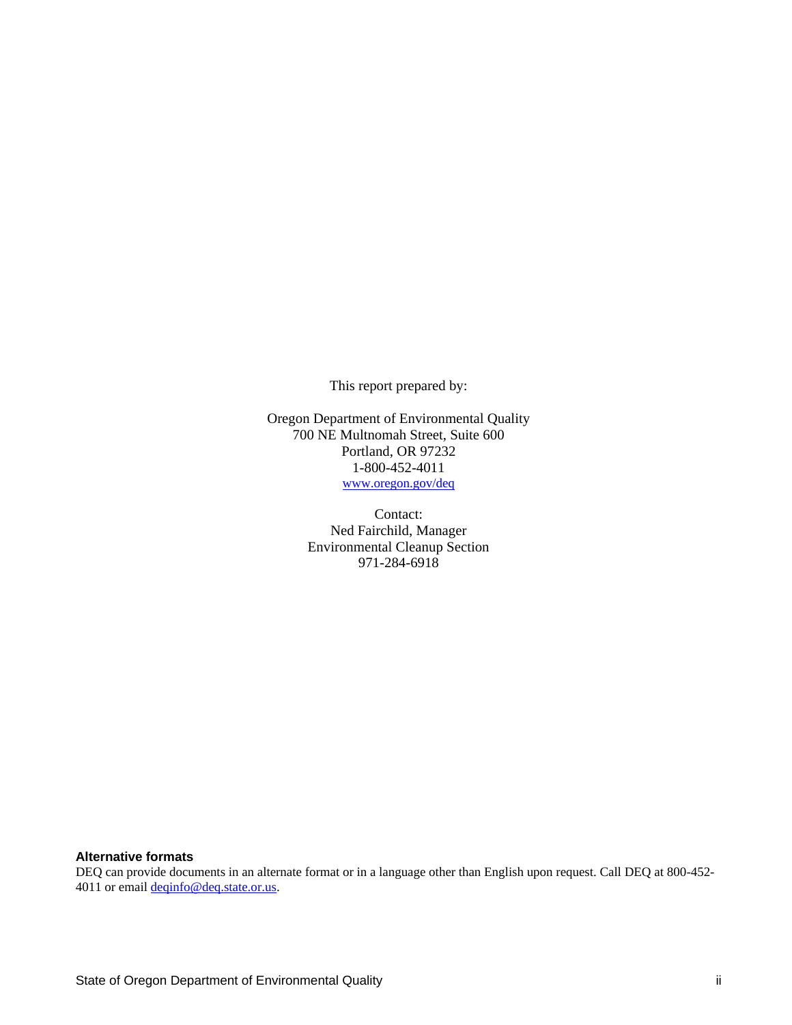This report prepared by:

Oregon Department of Environmental Quality 700 NE Multnomah Street, Suite 600 Portland, OR 97232 1-800-452-4011 [www.oregon.gov/deq](http://www.oregon.gov/deq)

> Contact: Ned Fairchild, Manager Environmental Cleanup Section 971-284-6918

#### **Alternative formats**

DEQ can provide documents in an alternate format or in a language other than English upon request. Call DEQ at 800-452 4011 or emai[l deqinfo@deq.state.or.us.](mailto:deqinfo@deq.state.or.us)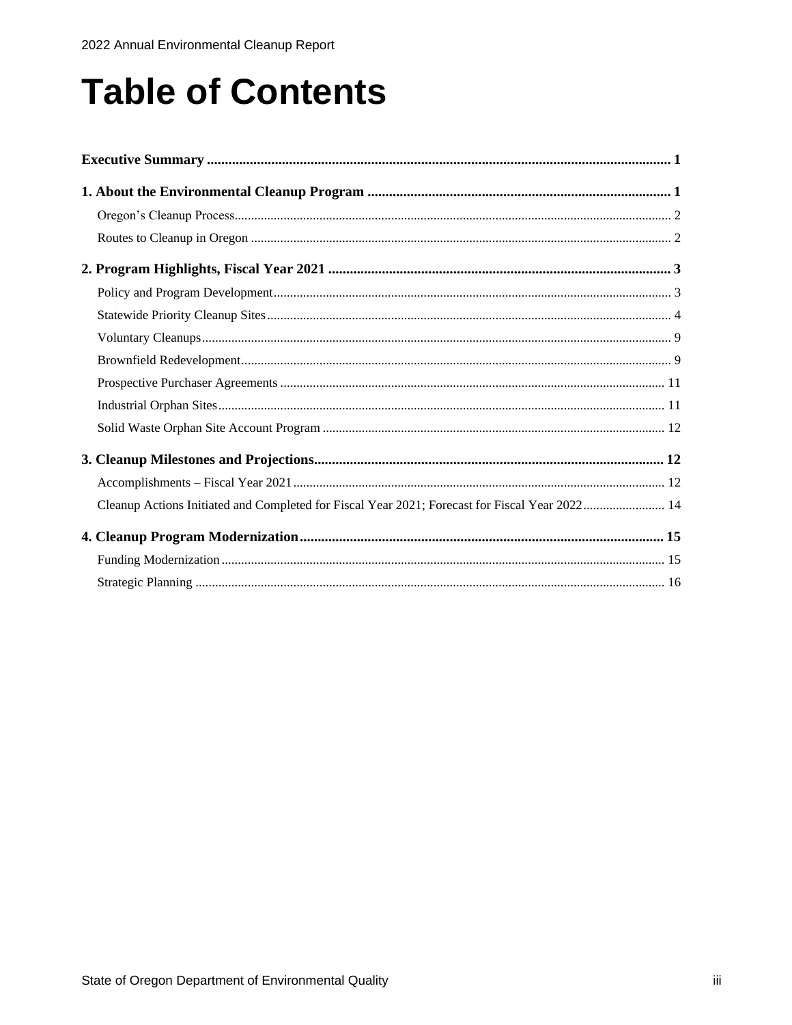# **Table of Contents**

| Cleanup Actions Initiated and Completed for Fiscal Year 2021; Forecast for Fiscal Year 2022 14 |  |
|------------------------------------------------------------------------------------------------|--|
|                                                                                                |  |
|                                                                                                |  |
|                                                                                                |  |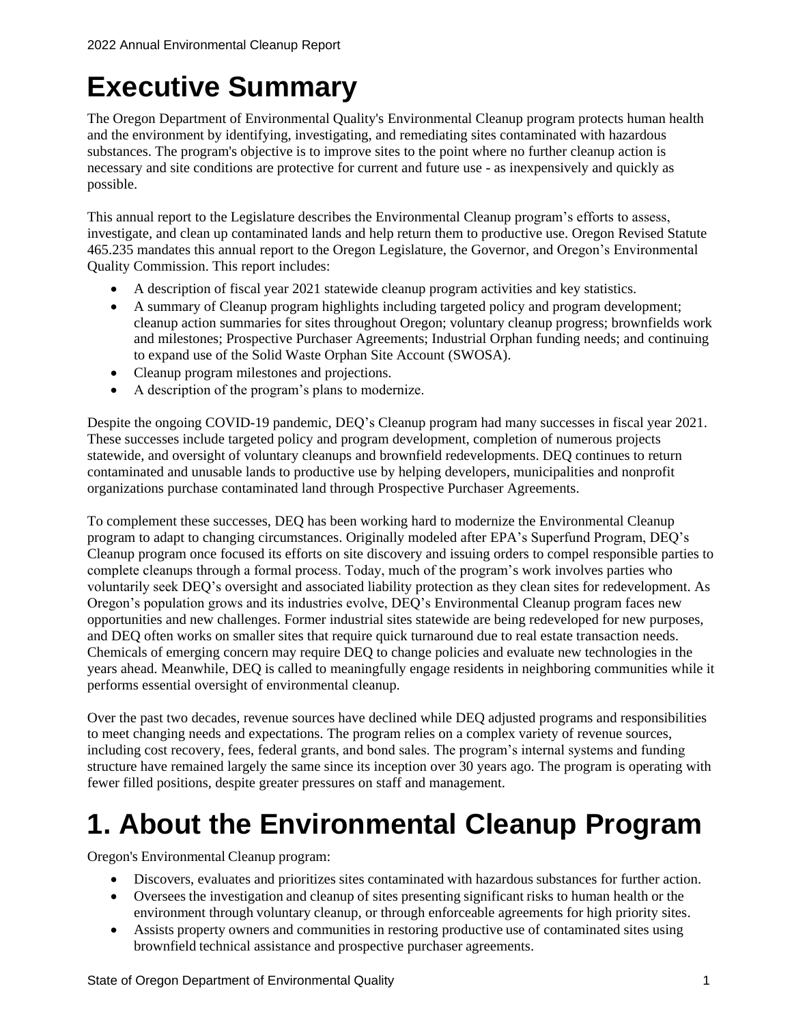## **Executive Summary**

The Oregon Department of Environmental Quality's Environmental Cleanup program protects human health and the environment by identifying, investigating, and remediating sites contaminated with hazardous substances. The program's objective is to improve sites to the point where no further cleanup action is necessary and site conditions are protective for current and future use - as inexpensively and quickly as possible.

This annual report to the Legislature describes the Environmental Cleanup program's efforts to assess, investigate, and clean up contaminated lands and help return them to productive use. Oregon Revised Statute 465.235 mandates this annual report to the Oregon Legislature, the Governor, and Oregon's Environmental Quality Commission. This report includes:

- A description of fiscal year 2021 statewide cleanup program activities and key statistics.
- A summary of Cleanup program highlights including targeted policy and program development; cleanup action summaries for sites throughout Oregon; voluntary cleanup progress; brownfields work and milestones; Prospective Purchaser Agreements; Industrial Orphan funding needs; and continuing to expand use of the Solid Waste Orphan Site Account (SWOSA).
- Cleanup program milestones and projections.
- A description of the program's plans to modernize.

Despite the ongoing COVID-19 pandemic, DEQ's Cleanup program had many successes in fiscal year 2021. These successes include targeted policy and program development, completion of numerous projects statewide, and oversight of voluntary cleanups and brownfield redevelopments. DEQ continues to return contaminated and unusable lands to productive use by helping developers, municipalities and nonprofit organizations purchase contaminated land through Prospective Purchaser Agreements.

To complement these successes, DEQ has been working hard to modernize the Environmental Cleanup program to adapt to changing circumstances. Originally modeled after EPA's Superfund Program, DEQ's Cleanup program once focused its efforts on site discovery and issuing orders to compel responsible parties to complete cleanups through a formal process. Today, much of the program's work involves parties who voluntarily seek DEQ's oversight and associated liability protection as they clean sites for redevelopment. As Oregon's population grows and its industries evolve, DEQ's Environmental Cleanup program faces new opportunities and new challenges. Former industrial sites statewide are being redeveloped for new purposes, and DEQ often works on smaller sites that require quick turnaround due to real estate transaction needs. Chemicals of emerging concern may require DEQ to change policies and evaluate new technologies in the years ahead. Meanwhile, DEQ is called to meaningfully engage residents in neighboring communities while it performs essential oversight of environmental cleanup.

Over the past two decades, revenue sources have declined while DEQ adjusted programs and responsibilities to meet changing needs and expectations. The program relies on a complex variety of revenue sources, including cost recovery, fees, federal grants, and bond sales. The program's internal systems and funding structure have remained largely the same since its inception over 30 years ago. The program is operating with fewer filled positions, despite greater pressures on staff and management.

## **1. About the Environmental Cleanup Program**

Oregon's Environmental Cleanup program:

- Discovers, evaluates and prioritizes sites contaminated with hazardous substances for further action.
- Oversees the investigation and cleanup of sites presenting significant risks to human health or the environment through voluntary cleanup, or through enforceable agreements for high priority sites.
- Assists property owners and communities in restoring productive use of contaminated sites using brownfield technical assistance and prospective purchaser agreements.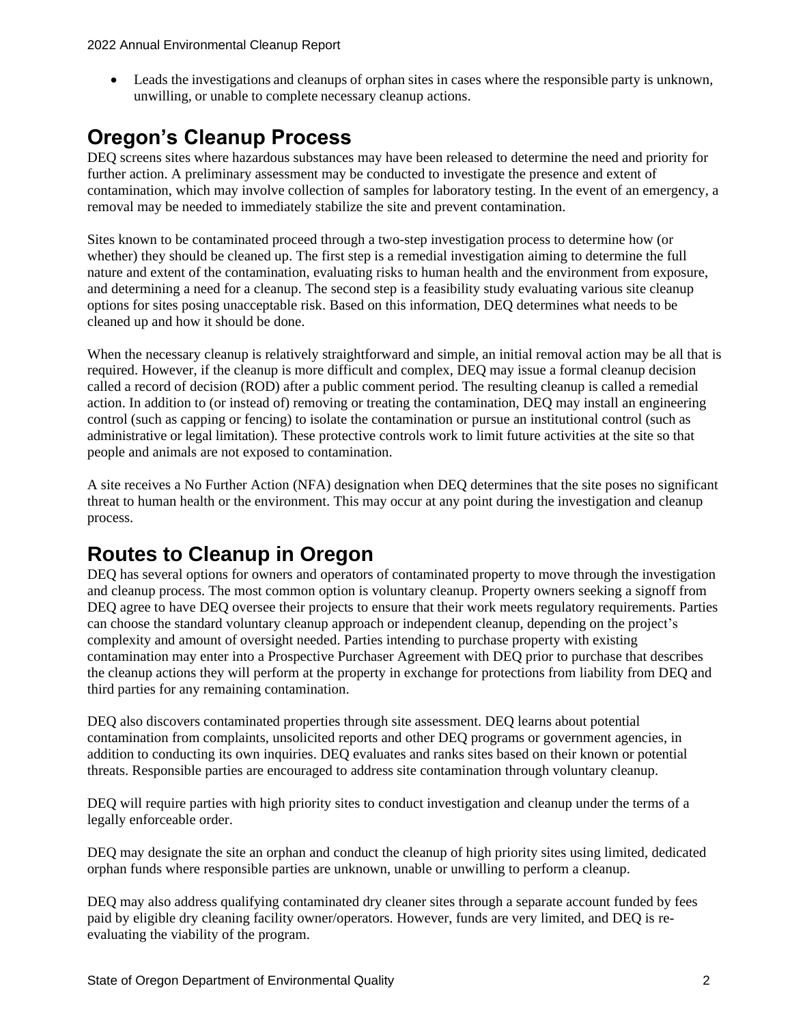• Leads the investigations and cleanups of orphan sites in cases where the responsible party is unknown, unwilling, or unable to complete necessary cleanup actions.

### **Oregon's Cleanup Process**

DEQ screens sites where hazardous substances may have been released to determine the need and priority for further action. A preliminary assessment may be conducted to investigate the presence and extent of contamination, which may involve collection of samples for laboratory testing. In the event of an emergency, a removal may be needed to immediately stabilize the site and prevent contamination.

Sites known to be contaminated proceed through a two-step investigation process to determine how (or whether) they should be cleaned up. The first step is a remedial investigation aiming to determine the full nature and extent of the contamination, evaluating risks to human health and the environment from exposure, and determining a need for a cleanup. The second step is a feasibility study evaluating various site cleanup options for sites posing unacceptable risk. Based on this information, DEQ determines what needs to be cleaned up and how it should be done.

When the necessary cleanup is relatively straightforward and simple, an initial removal action may be all that is required. However, if the cleanup is more difficult and complex, DEQ may issue a formal cleanup decision called a record of decision (ROD) after a public comment period. The resulting cleanup is called a remedial action. In addition to (or instead of) removing or treating the contamination, DEQ may install an engineering control (such as capping or fencing) to isolate the contamination or pursue an institutional control (such as administrative or legal limitation). These protective controls work to limit future activities at the site so that people and animals are not exposed to contamination.

A site receives a No Further Action (NFA) designation when DEQ determines that the site poses no significant threat to human health or the environment. This may occur at any point during the investigation and cleanup process.

### **Routes to Cleanup in Oregon**

DEQ has several options for owners and operators of contaminated property to move through the investigation and cleanup process. The most common option is voluntary cleanup. Property owners seeking a signoff from DEQ agree to have DEQ oversee their projects to ensure that their work meets regulatory requirements. Parties can choose the standard voluntary cleanup approach or independent cleanup, depending on the project's complexity and amount of oversight needed. Parties intending to purchase property with existing contamination may enter into a Prospective Purchaser Agreement with DEQ prior to purchase that describes the cleanup actions they will perform at the property in exchange for protections from liability from DEQ and third parties for any remaining contamination.

DEQ also discovers contaminated properties through site assessment. DEQ learns about potential contamination from complaints, unsolicited reports and other DEQ programs or government agencies, in addition to conducting its own inquiries. DEQ evaluates and ranks sites based on their known or potential threats. Responsible parties are encouraged to address site contamination through voluntary cleanup.

DEQ will require parties with high priority sites to conduct investigation and cleanup under the terms of a legally enforceable order.

DEQ may designate the site an orphan and conduct the cleanup of high priority sites using limited, dedicated orphan funds where responsible parties are unknown, unable or unwilling to perform a cleanup.

DEQ may also address qualifying contaminated dry cleaner sites through a separate account funded by fees paid by eligible dry cleaning facility owner/operators. However, funds are very limited, and DEQ is reevaluating the viability of the program.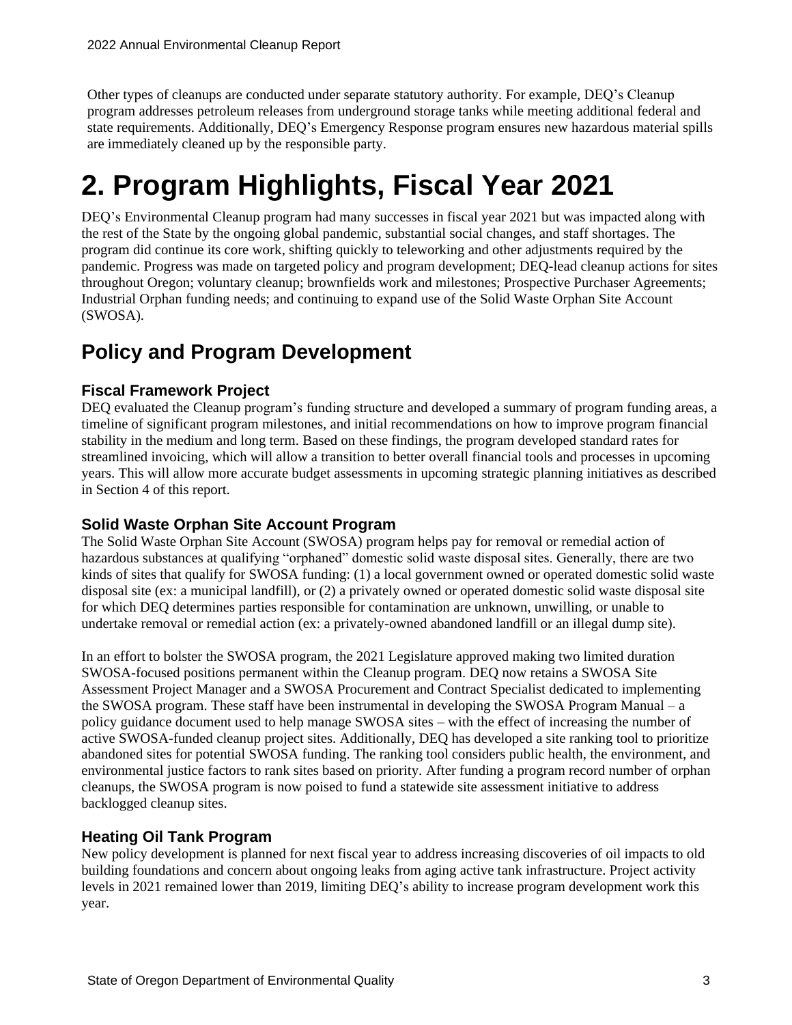Other types of cleanups are conducted under separate statutory authority. For example, DEQ's Cleanup program addresses petroleum releases from underground storage tanks while meeting additional federal and state requirements. Additionally, DEQ's Emergency Response program ensures new hazardous material spills are immediately cleaned up by the responsible party.

## **2. Program Highlights, Fiscal Year 2021**

DEQ's Environmental Cleanup program had many successes in fiscal year 2021 but was impacted along with the rest of the State by the ongoing global pandemic, substantial social changes, and staff shortages. The program did continue its core work, shifting quickly to teleworking and other adjustments required by the pandemic. Progress was made on targeted policy and program development; DEQ-lead cleanup actions for sites throughout Oregon; voluntary cleanup; brownfields work and milestones; Prospective Purchaser Agreements; Industrial Orphan funding needs; and continuing to expand use of the Solid Waste Orphan Site Account (SWOSA).

### **Policy and Program Development**

### **Fiscal Framework Project**

DEQ evaluated the Cleanup program's funding structure and developed a summary of program funding areas, a timeline of significant program milestones, and initial recommendations on how to improve program financial stability in the medium and long term. Based on these findings, the program developed standard rates for streamlined invoicing, which will allow a transition to better overall financial tools and processes in upcoming years. This will allow more accurate budget assessments in upcoming strategic planning initiatives as described in Section 4 of this report.

### **Solid Waste Orphan Site Account Program**

The Solid Waste Orphan Site Account (SWOSA) program helps pay for removal or remedial action of hazardous substances at qualifying "orphaned" domestic solid waste disposal sites. Generally, there are two kinds of sites that qualify for SWOSA funding: (1) a local government owned or operated domestic solid waste disposal site (ex: a municipal landfill), or (2) a privately owned or operated domestic solid waste disposal site for which DEQ determines parties responsible for contamination are unknown, unwilling, or unable to undertake removal or remedial action (ex: a privately-owned abandoned landfill or an illegal dump site).

In an effort to bolster the SWOSA program, the 2021 Legislature approved making two limited duration SWOSA-focused positions permanent within the Cleanup program. DEQ now retains a SWOSA Site Assessment Project Manager and a SWOSA Procurement and Contract Specialist dedicated to implementing the SWOSA program. These staff have been instrumental in developing the SWOSA Program Manual – a policy guidance document used to help manage SWOSA sites – with the effect of increasing the number of active SWOSA-funded cleanup project sites. Additionally, DEQ has developed a site ranking tool to prioritize abandoned sites for potential SWOSA funding. The ranking tool considers public health, the environment, and environmental justice factors to rank sites based on priority. After funding a program record number of orphan cleanups, the SWOSA program is now poised to fund a statewide site assessment initiative to address backlogged cleanup sites.

### **Heating Oil Tank Program**

New policy development is planned for next fiscal year to address increasing discoveries of oil impacts to old building foundations and concern about ongoing leaks from aging active tank infrastructure. Project activity levels in 2021 remained lower than 2019, limiting DEQ's ability to increase program development work this year.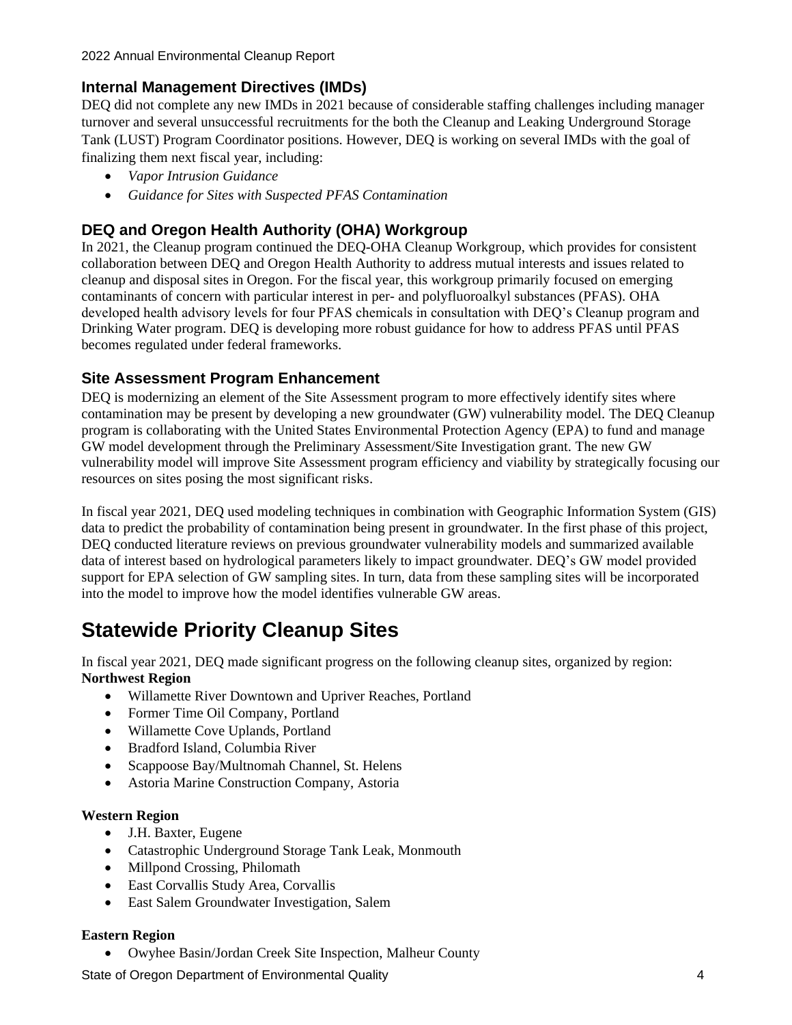### **Internal Management Directives (IMDs)**

DEQ did not complete any new IMDs in 2021 because of considerable staffing challenges including manager turnover and several unsuccessful recruitments for the both the Cleanup and Leaking Underground Storage Tank (LUST) Program Coordinator positions. However, DEQ is working on several IMDs with the goal of finalizing them next fiscal year, including:

- *Vapor Intrusion Guidance*
- *Guidance for Sites with Suspected PFAS Contamination*

### **DEQ and Oregon Health Authority (OHA) Workgroup**

In 2021, the Cleanup program continued the DEQ-OHA Cleanup Workgroup, which provides for consistent collaboration between DEQ and Oregon Health Authority to address mutual interests and issues related to cleanup and disposal sites in Oregon. For the fiscal year, this workgroup primarily focused on emerging contaminants of concern with particular interest in per- and polyfluoroalkyl substances (PFAS). OHA developed health advisory levels for four PFAS chemicals in consultation with DEQ's Cleanup program and Drinking Water program. DEQ is developing more robust guidance for how to address PFAS until PFAS becomes regulated under federal frameworks.

### **Site Assessment Program Enhancement**

DEQ is modernizing an element of the Site Assessment program to more effectively identify sites where contamination may be present by developing a new groundwater (GW) vulnerability model. The DEQ Cleanup program is collaborating with the United States Environmental Protection Agency (EPA) to fund and manage GW model development through the Preliminary Assessment/Site Investigation grant. The new GW vulnerability model will improve Site Assessment program efficiency and viability by strategically focusing our resources on sites posing the most significant risks.

In fiscal year 2021, DEQ used modeling techniques in combination with Geographic Information System (GIS) data to predict the probability of contamination being present in groundwater. In the first phase of this project, DEQ conducted literature reviews on previous groundwater vulnerability models and summarized available data of interest based on hydrological parameters likely to impact groundwater. DEQ's GW model provided support for EPA selection of GW sampling sites. In turn, data from these sampling sites will be incorporated into the model to improve how the model identifies vulnerable GW areas.

### **Statewide Priority Cleanup Sites**

In fiscal year 2021, DEQ made significant progress on the following cleanup sites, organized by region: **Northwest Region**

- Willamette River Downtown and Upriver Reaches, Portland
- Former Time Oil Company, Portland
- Willamette Cove Uplands, Portland
- Bradford Island, Columbia River
- Scappoose Bay/Multnomah Channel, St. Helens
- Astoria Marine Construction Company, Astoria

#### **Western Region**

- J.H. Baxter, Eugene
- Catastrophic Underground Storage Tank Leak, Monmouth
- Millpond Crossing, Philomath
- East Corvallis Study Area, Corvallis
- East Salem Groundwater Investigation, Salem

#### **Eastern Region**

• Owyhee Basin/Jordan Creek Site Inspection, Malheur County

State of Oregon Department of Environmental Quality **4** 4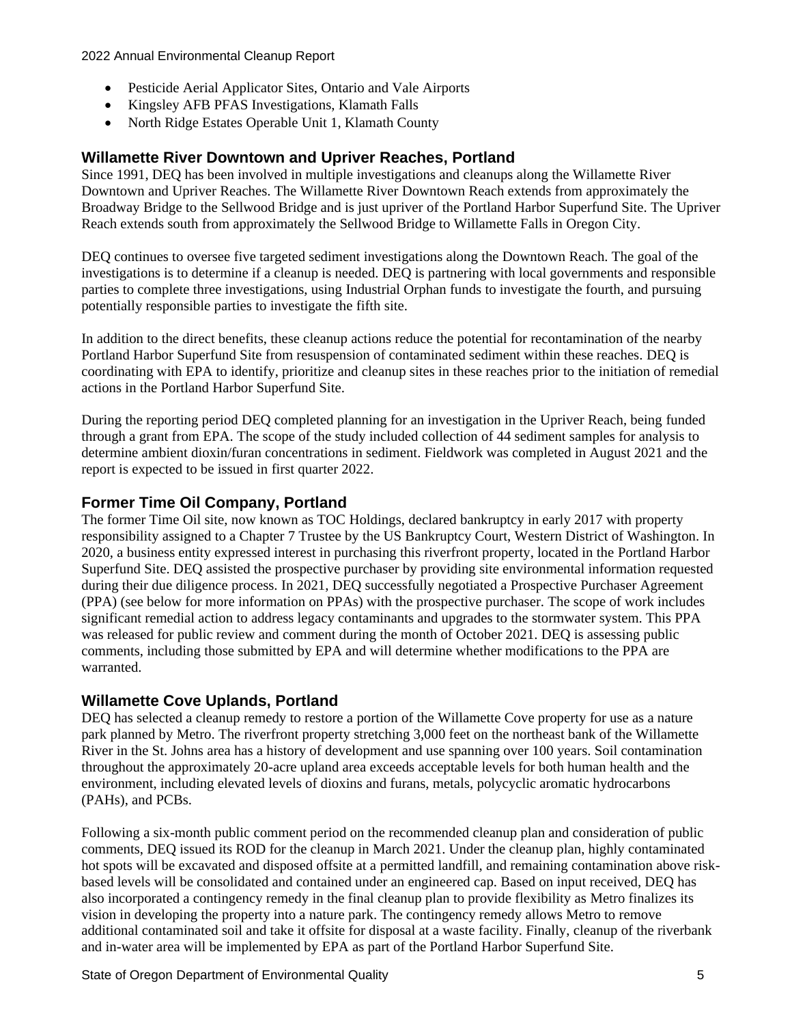- Pesticide Aerial Applicator Sites, Ontario and Vale Airports
- Kingsley AFB PFAS Investigations, Klamath Falls
- North Ridge Estates Operable Unit 1, Klamath County

### **Willamette River Downtown and Upriver Reaches, Portland**

Since 1991, DEQ has been involved in multiple investigations and cleanups along the Willamette River Downtown and Upriver Reaches. The Willamette River Downtown Reach extends from approximately the Broadway Bridge to the Sellwood Bridge and is just upriver of the Portland Harbor Superfund Site. The Upriver Reach extends south from approximately the Sellwood Bridge to Willamette Falls in Oregon City.

DEQ continues to oversee five targeted sediment investigations along the Downtown Reach. The goal of the investigations is to determine if a cleanup is needed. DEQ is partnering with local governments and responsible parties to complete three investigations, using Industrial Orphan funds to investigate the fourth, and pursuing potentially responsible parties to investigate the fifth site.

In addition to the direct benefits, these cleanup actions reduce the potential for recontamination of the nearby Portland Harbor Superfund Site from resuspension of contaminated sediment within these reaches. DEQ is coordinating with EPA to identify, prioritize and cleanup sites in these reaches prior to the initiation of remedial actions in the Portland Harbor Superfund Site.

During the reporting period DEQ completed planning for an investigation in the Upriver Reach, being funded through a grant from EPA. The scope of the study included collection of 44 sediment samples for analysis to determine ambient dioxin/furan concentrations in sediment. Fieldwork was completed in August 2021 and the report is expected to be issued in first quarter 2022.

### **Former Time Oil Company, Portland**

The former Time Oil site, now known as TOC Holdings, declared bankruptcy in early 2017 with property responsibility assigned to a Chapter 7 Trustee by the US Bankruptcy Court, Western District of Washington. In 2020, a business entity expressed interest in purchasing this riverfront property, located in the Portland Harbor Superfund Site. DEQ assisted the prospective purchaser by providing site environmental information requested during their due diligence process. In 2021, DEQ successfully negotiated a Prospective Purchaser Agreement (PPA) (see below for more information on PPAs) with the prospective purchaser. The scope of work includes significant remedial action to address legacy contaminants and upgrades to the stormwater system. This PPA was released for public review and comment during the month of October 2021. DEQ is assessing public comments, including those submitted by EPA and will determine whether modifications to the PPA are warranted.

### **Willamette Cove Uplands, Portland**

DEQ has selected a cleanup remedy to restore a portion of the Willamette Cove property for use as a nature park planned by Metro. The riverfront property stretching 3,000 feet on the northeast bank of the Willamette River in the St. Johns area has a history of development and use spanning over 100 years. Soil contamination throughout the approximately 20-acre upland area exceeds acceptable levels for both human health and the environment, including elevated levels of dioxins and furans, metals, polycyclic aromatic hydrocarbons (PAHs), and PCBs.

Following a six-month public comment period on the recommended cleanup plan and consideration of public comments, DEQ issued its ROD for the cleanup in March 2021. Under the cleanup plan, highly contaminated hot spots will be excavated and disposed offsite at a permitted landfill, and remaining contamination above riskbased levels will be consolidated and contained under an engineered cap. Based on input received, DEQ has also incorporated a contingency remedy in the final cleanup plan to provide flexibility as Metro finalizes its vision in developing the property into a nature park. The contingency remedy allows Metro to remove additional contaminated soil and take it offsite for disposal at a waste facility. Finally, cleanup of the riverbank and in-water area will be implemented by EPA as part of the Portland Harbor Superfund Site.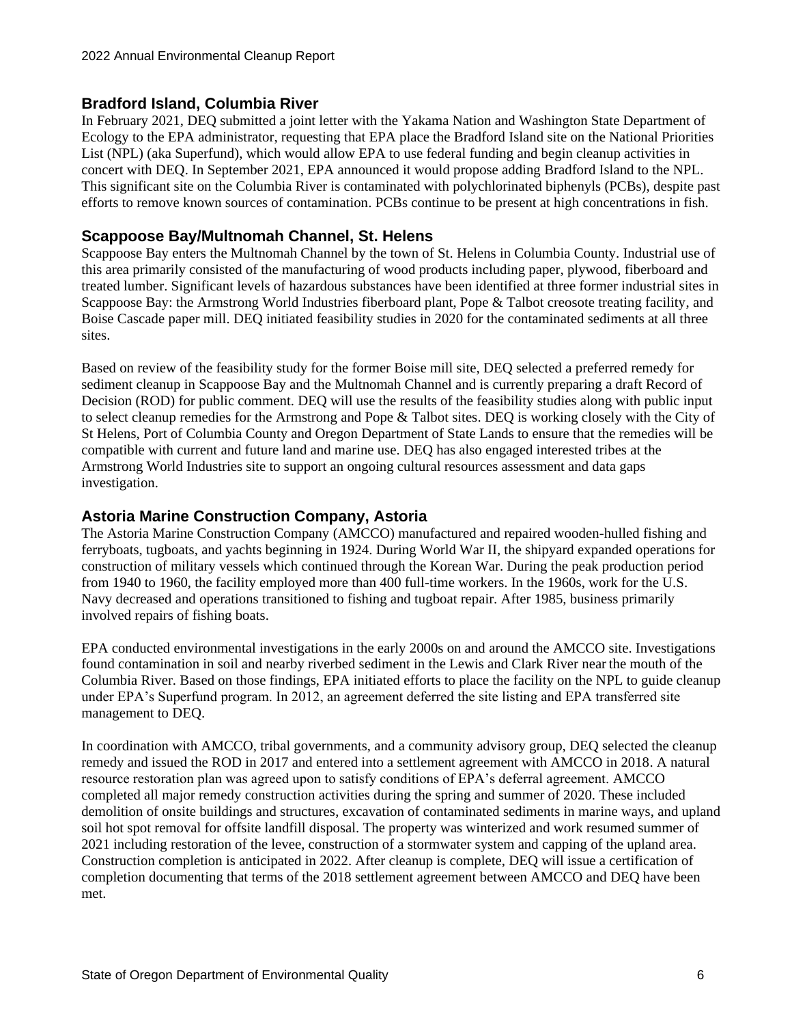### **Bradford Island, Columbia River**

In February 2021, DEQ submitted a joint letter with the Yakama Nation and Washington State Department of Ecology to the EPA administrator, requesting that EPA place the Bradford Island site on the National Priorities List (NPL) (aka Superfund), which would allow EPA to use federal funding and begin cleanup activities in concert with DEQ. In September 2021, EPA announced it would propose adding Bradford Island to the NPL. This significant site on the Columbia River is contaminated with polychlorinated biphenyls (PCBs), despite past efforts to remove known sources of contamination. PCBs continue to be present at high concentrations in fish.

### **Scappoose Bay/Multnomah Channel, St. Helens**

Scappoose Bay enters the Multnomah Channel by the town of St. Helens in Columbia County. Industrial use of this area primarily consisted of the manufacturing of wood products including paper, plywood, fiberboard and treated lumber. Significant levels of hazardous substances have been identified at three former industrial sites in Scappoose Bay: the Armstrong World Industries fiberboard plant, Pope & Talbot creosote treating facility, and Boise Cascade paper mill. DEQ initiated feasibility studies in 2020 for the contaminated sediments at all three sites.

Based on review of the feasibility study for the former Boise mill site, DEQ selected a preferred remedy for sediment cleanup in Scappoose Bay and the Multnomah Channel and is currently preparing a draft Record of Decision (ROD) for public comment. DEQ will use the results of the feasibility studies along with public input to select cleanup remedies for the Armstrong and Pope & Talbot sites. DEQ is working closely with the City of St Helens, Port of Columbia County and Oregon Department of State Lands to ensure that the remedies will be compatible with current and future land and marine use. DEQ has also engaged interested tribes at the Armstrong World Industries site to support an ongoing cultural resources assessment and data gaps investigation.

### **Astoria Marine Construction Company, Astoria**

The Astoria Marine Construction Company (AMCCO) manufactured and repaired wooden-hulled fishing and ferryboats, tugboats, and yachts beginning in 1924. During World War II, the shipyard expanded operations for construction of military vessels which continued through the Korean War. During the peak production period from 1940 to 1960, the facility employed more than 400 full-time workers. In the 1960s, work for the U.S. Navy decreased and operations transitioned to fishing and tugboat repair. After 1985, business primarily involved repairs of fishing boats.

EPA conducted environmental investigations in the early 2000s on and around the AMCCO site. Investigations found contamination in soil and nearby riverbed sediment in the Lewis and Clark River near the mouth of the Columbia River. Based on those findings, EPA initiated efforts to place the facility on the NPL to guide cleanup under EPA's Superfund program. In 2012, an agreement deferred the site listing and EPA transferred site management to DEQ.

In coordination with AMCCO, tribal governments, and a community advisory group, DEQ selected the cleanup remedy and issued the ROD in 2017 and entered into a settlement agreement with AMCCO in 2018. A natural resource restoration plan was agreed upon to satisfy conditions of EPA's deferral agreement. AMCCO completed all major remedy construction activities during the spring and summer of 2020. These included demolition of onsite buildings and structures, excavation of contaminated sediments in marine ways, and upland soil hot spot removal for offsite landfill disposal. The property was winterized and work resumed summer of 2021 including restoration of the levee, construction of a stormwater system and capping of the upland area. Construction completion is anticipated in 2022. After cleanup is complete, DEQ will issue a certification of completion documenting that terms of the 2018 settlement agreement between AMCCO and DEQ have been met.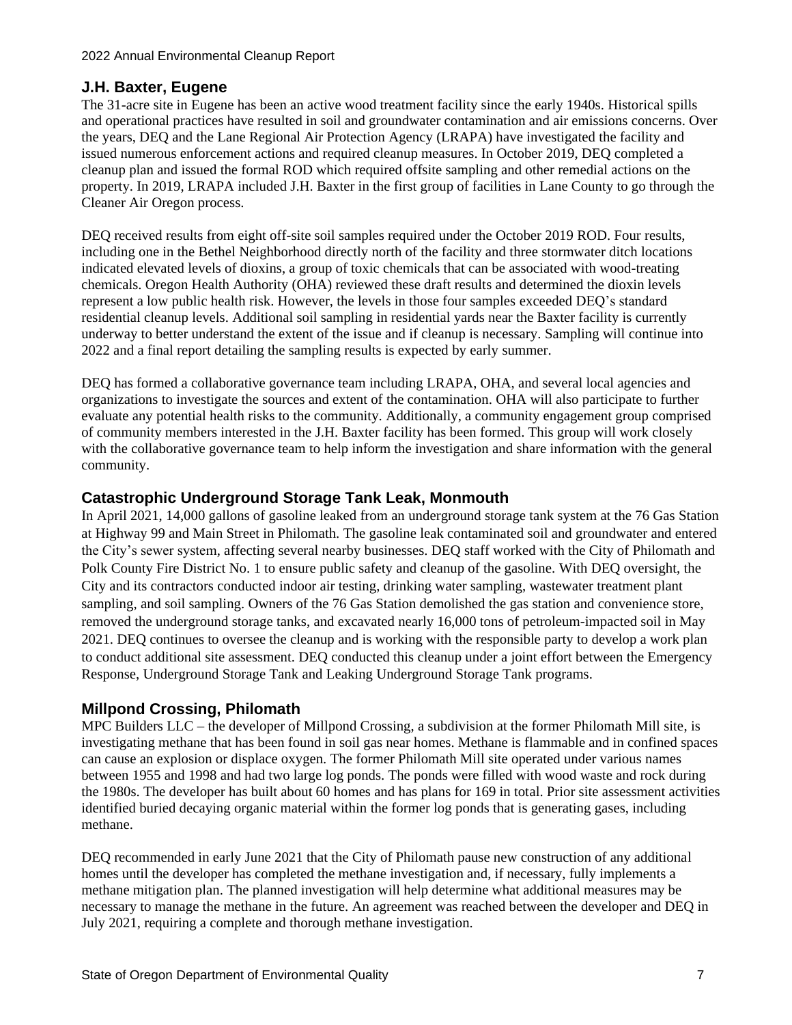### **J.H. Baxter, Eugene**

The 31-acre site in Eugene has been an active wood treatment facility since the early 1940s. Historical spills and operational practices have resulted in soil and groundwater contamination and air emissions concerns. Over the years, DEQ and the Lane Regional Air Protection Agency (LRAPA) have investigated the facility and issued numerous enforcement actions and required cleanup measures. In October 2019, DEQ completed a cleanup plan and issued the formal ROD which required offsite sampling and other remedial actions on the property. In 2019, LRAPA included J.H. Baxter in the first group of facilities in Lane County to go through the Cleaner Air Oregon process.

DEQ received results from eight off-site soil samples required under the October 2019 ROD. Four results, including one in the Bethel Neighborhood directly north of the facility and three stormwater ditch locations indicated elevated levels of dioxins, a group of toxic chemicals that can be associated with wood-treating chemicals. Oregon Health Authority (OHA) reviewed these draft results and determined the dioxin levels represent a low public health risk. However, the levels in those four samples exceeded DEQ's standard residential cleanup levels. Additional soil sampling in residential yards near the Baxter facility is currently underway to better understand the extent of the issue and if cleanup is necessary. Sampling will continue into 2022 and a final report detailing the sampling results is expected by early summer.

DEQ has formed a collaborative governance team including LRAPA, OHA, and several local agencies and organizations to investigate the sources and extent of the contamination. OHA will also participate to further evaluate any potential health risks to the community. Additionally, a community engagement group comprised of community members interested in the J.H. Baxter facility has been formed. This group will work closely with the collaborative governance team to help inform the investigation and share information with the general community.

### **Catastrophic Underground Storage Tank Leak, Monmouth**

In April 2021, 14,000 gallons of gasoline leaked from an underground storage tank system at the 76 Gas Station at Highway 99 and Main Street in Philomath. The gasoline leak contaminated soil and groundwater and entered the City's sewer system, affecting several nearby businesses. DEQ staff worked with the City of Philomath and Polk County Fire District No. 1 to ensure public safety and cleanup of the gasoline. With DEQ oversight, the City and its contractors conducted indoor air testing, drinking water sampling, wastewater treatment plant sampling, and soil sampling. Owners of the 76 Gas Station demolished the gas station and convenience store, removed the underground storage tanks, and excavated nearly 16,000 tons of petroleum-impacted soil in May 2021. DEQ continues to oversee the cleanup and is working with the responsible party to develop a work plan to conduct additional site assessment. DEQ conducted this cleanup under a joint effort between the Emergency Response, Underground Storage Tank and Leaking Underground Storage Tank programs.

### **Millpond Crossing, Philomath**

MPC Builders LLC – the developer of Millpond Crossing, a subdivision at the former Philomath Mill site, is investigating methane that has been found in soil gas near homes. Methane is flammable and in confined spaces can cause an explosion or displace oxygen. The former Philomath Mill site operated under various names between 1955 and 1998 and had two large log ponds. The ponds were filled with wood waste and rock during the 1980s. The developer has built about 60 homes and has plans for 169 in total. Prior site assessment activities identified buried decaying organic material within the former log ponds that is generating gases, including methane.

DEQ recommended in early June 2021 that the City of Philomath pause new construction of any additional homes until the developer has completed the methane investigation and, if necessary, fully implements a methane mitigation plan. The planned investigation will help determine what additional measures may be necessary to manage the methane in the future. An agreement was reached between the developer and DEQ in July 2021, requiring a complete and thorough methane investigation.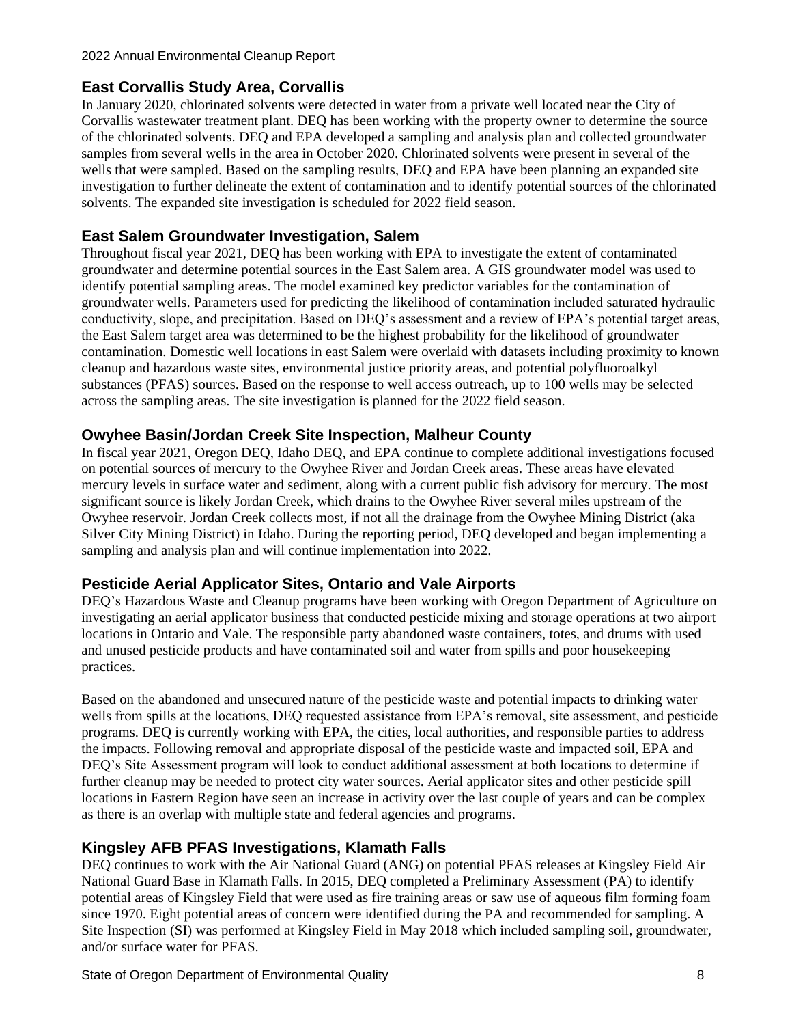### **East Corvallis Study Area, Corvallis**

In January 2020, chlorinated solvents were detected in water from a private well located near the City of Corvallis wastewater treatment plant. DEQ has been working with the property owner to determine the source of the chlorinated solvents. DEQ and EPA developed a sampling and analysis plan and collected groundwater samples from several wells in the area in October 2020. Chlorinated solvents were present in several of the wells that were sampled. Based on the sampling results, DEQ and EPA have been planning an expanded site investigation to further delineate the extent of contamination and to identify potential sources of the chlorinated solvents. The expanded site investigation is scheduled for 2022 field season.

### **East Salem Groundwater Investigation, Salem**

Throughout fiscal year 2021, DEQ has been working with EPA to investigate the extent of contaminated groundwater and determine potential sources in the East Salem area. A GIS groundwater model was used to identify potential sampling areas. The model examined key predictor variables for the contamination of groundwater wells. Parameters used for predicting the likelihood of contamination included saturated hydraulic conductivity, slope, and precipitation. Based on DEQ's assessment and a review of EPA's potential target areas, the East Salem target area was determined to be the highest probability for the likelihood of groundwater contamination. Domestic well locations in east Salem were overlaid with datasets including proximity to known cleanup and hazardous waste sites, environmental justice priority areas, and potential polyfluoroalkyl substances (PFAS) sources. Based on the response to well access outreach, up to 100 wells may be selected across the sampling areas. The site investigation is planned for the 2022 field season.

### **Owyhee Basin/Jordan Creek Site Inspection, Malheur County**

In fiscal year 2021, Oregon DEQ, Idaho DEQ, and EPA continue to complete additional investigations focused on potential sources of mercury to the Owyhee River and Jordan Creek areas. These areas have elevated mercury levels in surface water and sediment, along with a current public fish advisory for mercury. The most significant source is likely Jordan Creek, which drains to the Owyhee River several miles upstream of the Owyhee reservoir. Jordan Creek collects most, if not all the drainage from the Owyhee Mining District (aka Silver City Mining District) in Idaho. During the reporting period, DEQ developed and began implementing a sampling and analysis plan and will continue implementation into 2022.

### **Pesticide Aerial Applicator Sites, Ontario and Vale Airports**

DEQ's Hazardous Waste and Cleanup programs have been working with Oregon Department of Agriculture on investigating an aerial applicator business that conducted pesticide mixing and storage operations at two airport locations in Ontario and Vale. The responsible party abandoned waste containers, totes, and drums with used and unused pesticide products and have contaminated soil and water from spills and poor housekeeping practices.

Based on the abandoned and unsecured nature of the pesticide waste and potential impacts to drinking water wells from spills at the locations, DEQ requested assistance from EPA's removal, site assessment, and pesticide programs. DEQ is currently working with EPA, the cities, local authorities, and responsible parties to address the impacts. Following removal and appropriate disposal of the pesticide waste and impacted soil, EPA and DEQ's Site Assessment program will look to conduct additional assessment at both locations to determine if further cleanup may be needed to protect city water sources. Aerial applicator sites and other pesticide spill locations in Eastern Region have seen an increase in activity over the last couple of years and can be complex as there is an overlap with multiple state and federal agencies and programs.

### **Kingsley AFB PFAS Investigations, Klamath Falls**

DEQ continues to work with the Air National Guard (ANG) on potential PFAS releases at Kingsley Field Air National Guard Base in Klamath Falls. In 2015, DEQ completed a Preliminary Assessment (PA) to identify potential areas of Kingsley Field that were used as fire training areas or saw use of aqueous film forming foam since 1970. Eight potential areas of concern were identified during the PA and recommended for sampling. A Site Inspection (SI) was performed at Kingsley Field in May 2018 which included sampling soil, groundwater, and/or surface water for PFAS.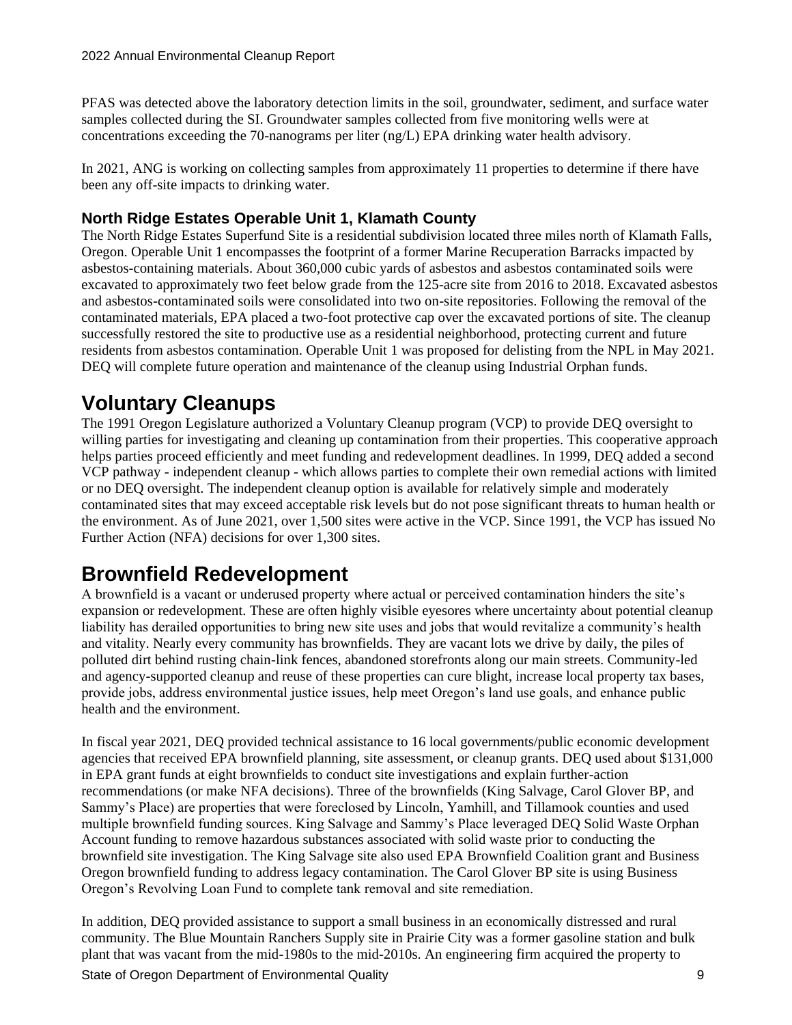PFAS was detected above the laboratory detection limits in the soil, groundwater, sediment, and surface water samples collected during the SI. Groundwater samples collected from five monitoring wells were at concentrations exceeding the 70-nanograms per liter (ng/L) EPA drinking water health advisory.

In 2021, ANG is working on collecting samples from approximately 11 properties to determine if there have been any off-site impacts to drinking water.

### **North Ridge Estates Operable Unit 1, Klamath County**

The North Ridge Estates Superfund Site is a residential subdivision located three miles north of Klamath Falls, Oregon. Operable Unit 1 encompasses the footprint of a former Marine Recuperation Barracks impacted by asbestos-containing materials. About 360,000 cubic yards of asbestos and asbestos contaminated soils were excavated to approximately two feet below grade from the 125-acre site from 2016 to 2018. Excavated asbestos and asbestos-contaminated soils were consolidated into two on-site repositories. Following the removal of the contaminated materials, EPA placed a two-foot protective cap over the excavated portions of site. The cleanup successfully restored the site to productive use as a residential neighborhood, protecting current and future residents from asbestos contamination. Operable Unit 1 was proposed for delisting from the NPL in May 2021. DEQ will complete future operation and maintenance of the cleanup using Industrial Orphan funds.

### **Voluntary Cleanups**

The 1991 Oregon Legislature authorized a Voluntary Cleanup program (VCP) to provide DEQ oversight to willing parties for investigating and cleaning up contamination from their properties. This cooperative approach helps parties proceed efficiently and meet funding and redevelopment deadlines. In 1999, DEQ added a second VCP pathway - independent cleanup - which allows parties to complete their own remedial actions with limited or no DEQ oversight. The independent cleanup option is available for relatively simple and moderately contaminated sites that may exceed acceptable risk levels but do not pose significant threats to human health or the environment. As of June 2021, over 1,500 sites were active in the VCP. Since 1991, the VCP has issued No Further Action (NFA) decisions for over 1,300 sites.

### **Brownfield Redevelopment**

A brownfield is a vacant or underused property where actual or perceived contamination hinders the site's expansion or redevelopment. These are often highly visible eyesores where uncertainty about potential cleanup liability has derailed opportunities to bring new site uses and jobs that would revitalize a community's health and vitality. Nearly every community has brownfields. They are vacant lots we drive by daily, the piles of polluted dirt behind rusting chain-link fences, abandoned storefronts along our main streets. Community-led and agency-supported cleanup and reuse of these properties can cure blight, increase local property tax bases, provide jobs, address environmental justice issues, help meet Oregon's land use goals, and enhance public health and the environment.

In fiscal year 2021, DEQ provided technical assistance to 16 local governments/public economic development agencies that received EPA brownfield planning, site assessment, or cleanup grants. DEQ used about \$131,000 in EPA grant funds at eight brownfields to conduct site investigations and explain further-action recommendations (or make NFA decisions). Three of the brownfields (King Salvage, Carol Glover BP, and Sammy's Place) are properties that were foreclosed by Lincoln, Yamhill, and Tillamook counties and used multiple brownfield funding sources. King Salvage and Sammy's Place leveraged DEQ Solid Waste Orphan Account funding to remove hazardous substances associated with solid waste prior to conducting the brownfield site investigation. The King Salvage site also used EPA Brownfield Coalition grant and Business Oregon brownfield funding to address legacy contamination. The Carol Glover BP site is using Business Oregon's Revolving Loan Fund to complete tank removal and site remediation.

In addition, DEQ provided assistance to support a small business in an economically distressed and rural community. The Blue Mountain Ranchers Supply site in Prairie City was a former gasoline station and bulk plant that was vacant from the mid-1980s to the mid-2010s. An engineering firm acquired the property to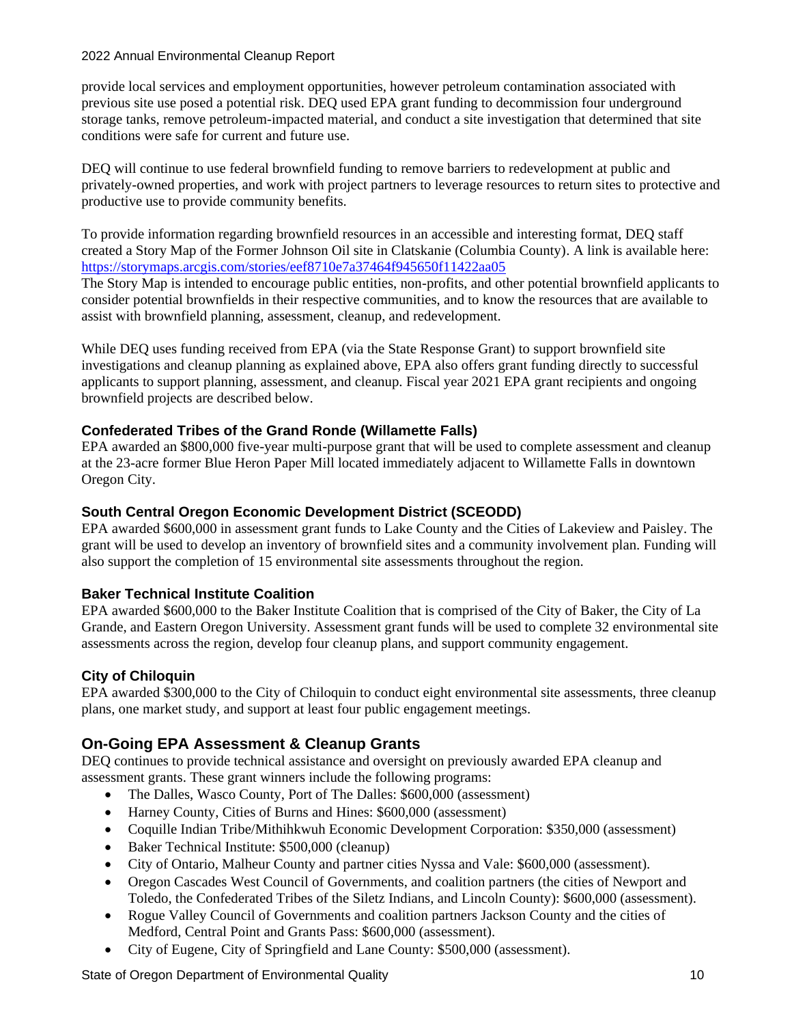provide local services and employment opportunities, however petroleum contamination associated with previous site use posed a potential risk. DEQ used EPA grant funding to decommission four underground storage tanks, remove petroleum-impacted material, and conduct a site investigation that determined that site conditions were safe for current and future use.

DEQ will continue to use federal brownfield funding to remove barriers to redevelopment at public and privately-owned properties, and work with project partners to leverage resources to return sites to protective and productive use to provide community benefits.

To provide information regarding brownfield resources in an accessible and interesting format, DEQ staff created a Story Map of the Former Johnson Oil site in Clatskanie (Columbia County). A link is available here: <https://storymaps.arcgis.com/stories/eef8710e7a37464f945650f11422aa05>

The Story Map is intended to encourage public entities, non-profits, and other potential brownfield applicants to consider potential brownfields in their respective communities, and to know the resources that are available to assist with brownfield planning, assessment, cleanup, and redevelopment.

While DEQ uses funding received from EPA (via the State Response Grant) to support brownfield site investigations and cleanup planning as explained above, EPA also offers grant funding directly to successful applicants to support planning, assessment, and cleanup. Fiscal year 2021 EPA grant recipients and ongoing brownfield projects are described below.

#### **Confederated Tribes of the Grand Ronde (Willamette Falls)**

EPA awarded an \$800,000 five-year multi-purpose grant that will be used to complete assessment and cleanup at the 23-acre former Blue Heron Paper Mill located immediately adjacent to Willamette Falls in downtown Oregon City.

#### **South Central Oregon Economic Development District (SCEODD)**

EPA awarded \$600,000 in assessment grant funds to Lake County and the Cities of Lakeview and Paisley. The grant will be used to develop an inventory of brownfield sites and a community involvement plan. Funding will also support the completion of 15 environmental site assessments throughout the region.

#### **Baker Technical Institute Coalition**

EPA awarded \$600,000 to the Baker Institute Coalition that is comprised of the City of Baker, the City of La Grande, and Eastern Oregon University. Assessment grant funds will be used to complete 32 environmental site assessments across the region, develop four cleanup plans, and support community engagement.

#### **City of Chiloquin**

EPA awarded \$300,000 to the City of Chiloquin to conduct eight environmental site assessments, three cleanup plans, one market study, and support at least four public engagement meetings.

### **On-Going EPA Assessment & Cleanup Grants**

DEQ continues to provide technical assistance and oversight on previously awarded EPA cleanup and assessment grants. These grant winners include the following programs:

- The Dalles, Wasco County, Port of The Dalles: \$600,000 (assessment)
- Harney County, Cities of Burns and Hines: \$600,000 (assessment)
- Coquille Indian Tribe/Mithihkwuh Economic Development Corporation: \$350,000 (assessment)
- Baker Technical Institute: \$500,000 (cleanup)
- City of Ontario, Malheur County and partner cities Nyssa and Vale: \$600,000 (assessment).
- Oregon Cascades West Council of Governments, and coalition partners (the cities of Newport and Toledo, the Confederated Tribes of the Siletz Indians, and Lincoln County): \$600,000 (assessment).
- Rogue Valley Council of Governments and coalition partners Jackson County and the cities of Medford, Central Point and Grants Pass: \$600,000 (assessment).
- City of Eugene, City of Springfield and Lane County: \$500,000 (assessment).

State of Oregon Department of Environmental Quality 10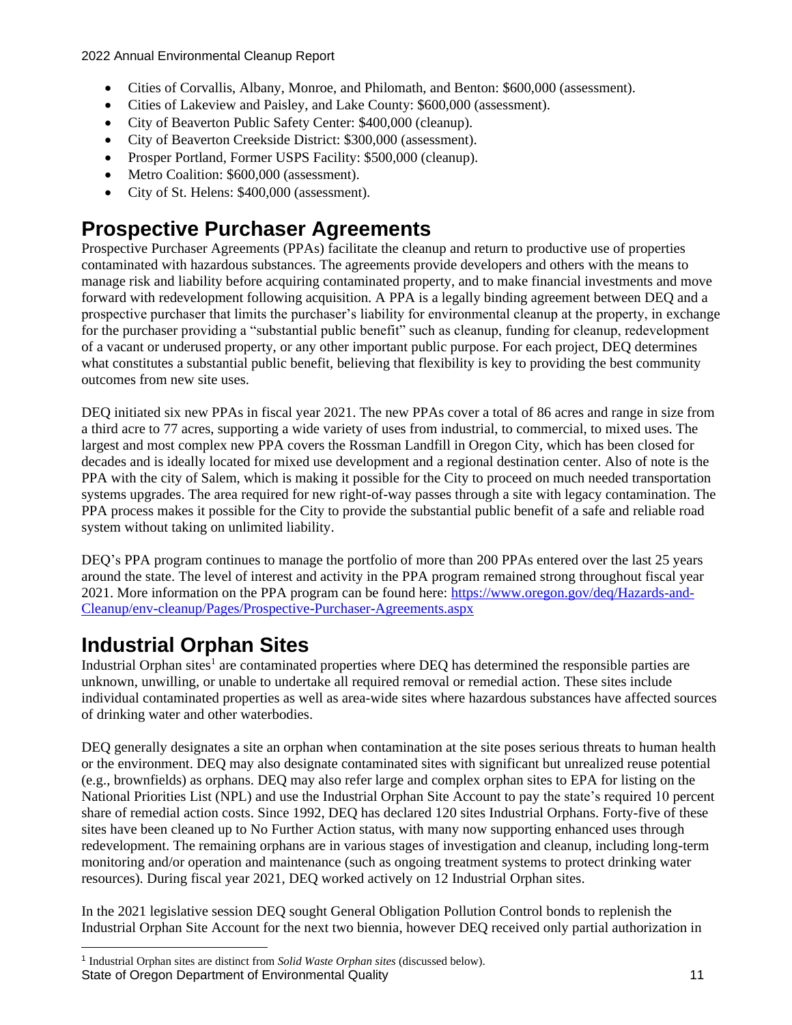- Cities of Corvallis, Albany, Monroe, and Philomath, and Benton: \$600,000 (assessment).
- Cities of Lakeview and Paisley, and Lake County: \$600,000 (assessment).
- City of Beaverton Public Safety Center: \$400,000 (cleanup).
- City of Beaverton Creekside District: \$300,000 (assessment).
- Prosper Portland, Former USPS Facility: \$500,000 (cleanup).
- Metro Coalition: \$600,000 (assessment).
- City of St. Helens: \$400,000 (assessment).

### **Prospective Purchaser Agreements**

Prospective Purchaser Agreements (PPAs) facilitate the cleanup and return to productive use of properties contaminated with hazardous substances. The agreements provide developers and others with the means to manage risk and liability before acquiring contaminated property, and to make financial investments and move forward with redevelopment following acquisition. A PPA is a legally binding agreement between DEQ and a prospective purchaser that limits the purchaser's liability for environmental cleanup at the property, in exchange for the purchaser providing a "substantial public benefit" such as cleanup, funding for cleanup, redevelopment of a vacant or underused property, or any other important public purpose. For each project, DEQ determines what constitutes a substantial public benefit, believing that flexibility is key to providing the best community outcomes from new site uses.

DEQ initiated six new PPAs in fiscal year 2021. The new PPAs cover a total of 86 acres and range in size from a third acre to 77 acres, supporting a wide variety of uses from industrial, to commercial, to mixed uses. The largest and most complex new PPA covers the Rossman Landfill in Oregon City, which has been closed for decades and is ideally located for mixed use development and a regional destination center. Also of note is the PPA with the city of Salem, which is making it possible for the City to proceed on much needed transportation systems upgrades. The area required for new right-of-way passes through a site with legacy contamination. The PPA process makes it possible for the City to provide the substantial public benefit of a safe and reliable road system without taking on unlimited liability.

DEQ's PPA program continues to manage the portfolio of more than 200 PPAs entered over the last 25 years around the state. The level of interest and activity in the PPA program remained strong throughout fiscal year 2021. More information on the PPA program can be found here: [https://www.oregon.gov/deq/Hazards-and-](https://www.oregon.gov/deq/Hazards-and-Cleanup/env-cleanup/Pages/Prospective-Purchaser-Agreements.aspx)[Cleanup/env-cleanup/Pages/Prospective-Purchaser-Agreements.aspx](https://www.oregon.gov/deq/Hazards-and-Cleanup/env-cleanup/Pages/Prospective-Purchaser-Agreements.aspx)

### **Industrial Orphan Sites**

Industrial Orphan sites<sup>1</sup> are contaminated properties where DEQ has determined the responsible parties are unknown, unwilling, or unable to undertake all required removal or remedial action. These sites include individual contaminated properties as well as area-wide sites where hazardous substances have affected sources of drinking water and other waterbodies.

DEQ generally designates a site an orphan when contamination at the site poses serious threats to human health or the environment. DEQ may also designate contaminated sites with significant but unrealized reuse potential (e.g., brownfields) as orphans. DEQ may also refer large and complex orphan sites to EPA for listing on the National Priorities List (NPL) and use the Industrial Orphan Site Account to pay the state's required 10 percent share of remedial action costs. Since 1992, DEQ has declared 120 sites Industrial Orphans. Forty-five of these sites have been cleaned up to No Further Action status, with many now supporting enhanced uses through redevelopment. The remaining orphans are in various stages of investigation and cleanup, including long-term monitoring and/or operation and maintenance (such as ongoing treatment systems to protect drinking water resources). During fiscal year 2021, DEQ worked actively on 12 Industrial Orphan sites.

In the 2021 legislative session DEQ sought General Obligation Pollution Control bonds to replenish the Industrial Orphan Site Account for the next two biennia, however DEQ received only partial authorization in

State of Oregon Department of Environmental Quality 11 and 11 and 11 and 11 and 11 and 11 and 11 and 11 and 11 1 Industrial Orphan sites are distinct from *Solid Waste Orphan sites* (discussed below).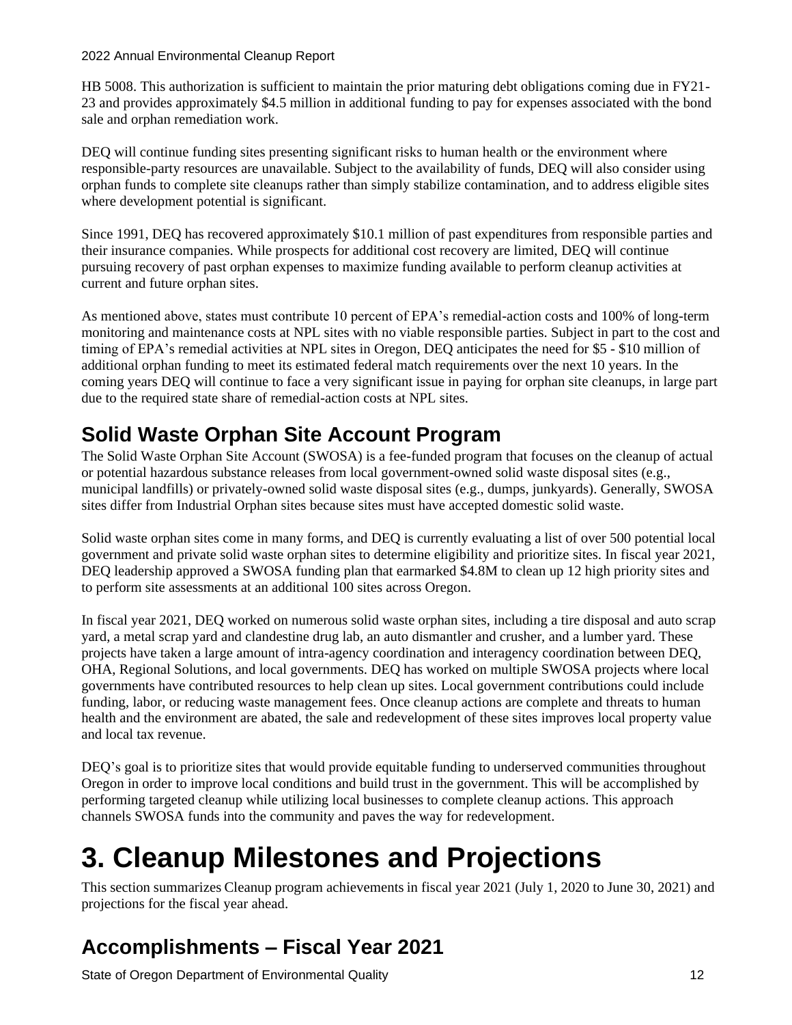HB 5008. This authorization is sufficient to maintain the prior maturing debt obligations coming due in FY21- 23 and provides approximately \$4.5 million in additional funding to pay for expenses associated with the bond sale and orphan remediation work.

DEQ will continue funding sites presenting significant risks to human health or the environment where responsible-party resources are unavailable. Subject to the availability of funds, DEQ will also consider using orphan funds to complete site cleanups rather than simply stabilize contamination, and to address eligible sites where development potential is significant.

Since 1991, DEQ has recovered approximately \$10.1 million of past expenditures from responsible parties and their insurance companies. While prospects for additional cost recovery are limited, DEQ will continue pursuing recovery of past orphan expenses to maximize funding available to perform cleanup activities at current and future orphan sites.

As mentioned above, states must contribute 10 percent of EPA's remedial-action costs and 100% of long-term monitoring and maintenance costs at NPL sites with no viable responsible parties. Subject in part to the cost and timing of EPA's remedial activities at NPL sites in Oregon, DEQ anticipates the need for \$5 - \$10 million of additional orphan funding to meet its estimated federal match requirements over the next 10 years. In the coming years DEQ will continue to face a very significant issue in paying for orphan site cleanups, in large part due to the required state share of remedial-action costs at NPL sites.

### **Solid Waste Orphan Site Account Program**

The Solid Waste Orphan Site Account (SWOSA) is a fee-funded program that focuses on the cleanup of actual or potential hazardous substance releases from local government-owned solid waste disposal sites (e.g., municipal landfills) or privately-owned solid waste disposal sites (e.g., dumps, junkyards). Generally, SWOSA sites differ from Industrial Orphan sites because sites must have accepted domestic solid waste.

Solid waste orphan sites come in many forms, and DEQ is currently evaluating a list of over 500 potential local government and private solid waste orphan sites to determine eligibility and prioritize sites. In fiscal year 2021, DEQ leadership approved a SWOSA funding plan that earmarked \$4.8M to clean up 12 high priority sites and to perform site assessments at an additional 100 sites across Oregon.

In fiscal year 2021, DEQ worked on numerous solid waste orphan sites, including a tire disposal and auto scrap yard, a metal scrap yard and clandestine drug lab, an auto dismantler and crusher, and a lumber yard. These projects have taken a large amount of intra-agency coordination and interagency coordination between DEQ, OHA, Regional Solutions, and local governments. DEQ has worked on multiple SWOSA projects where local governments have contributed resources to help clean up sites. Local government contributions could include funding, labor, or reducing waste management fees. Once cleanup actions are complete and threats to human health and the environment are abated, the sale and redevelopment of these sites improves local property value and local tax revenue.

DEQ's goal is to prioritize sites that would provide equitable funding to underserved communities throughout Oregon in order to improve local conditions and build trust in the government. This will be accomplished by performing targeted cleanup while utilizing local businesses to complete cleanup actions. This approach channels SWOSA funds into the community and paves the way for redevelopment.

## **3. Cleanup Milestones and Projections**

This section summarizes Cleanup program achievements in fiscal year 2021 (July 1, 2020 to June 30, 2021) and projections for the fiscal year ahead.

### **Accomplishments – Fiscal Year 2021**

State of Oregon Department of Environmental Quality 12 12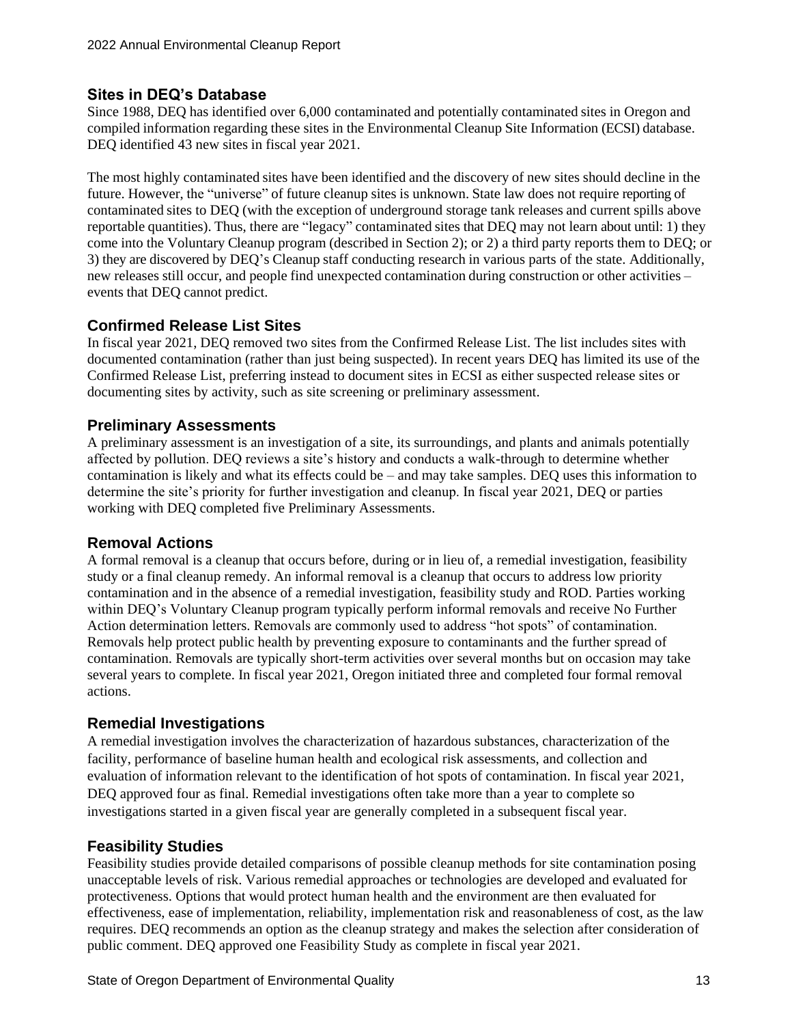### **Sites in DEQ's Database**

Since 1988, DEQ has identified over 6,000 contaminated and potentially contaminated sites in Oregon and compiled information regarding these sites in the Environmental Cleanup Site Information (ECSI) database. DEQ identified 43 new sites in fiscal year 2021.

The most highly contaminated sites have been identified and the discovery of new sites should decline in the future. However, the "universe" of future cleanup sites is unknown. State law does not require reporting of contaminated sites to DEQ (with the exception of underground storage tank releases and current spills above reportable quantities). Thus, there are "legacy" contaminated sites that DEQ may not learn about until: 1) they come into the Voluntary Cleanup program (described in Section 2); or 2) a third party reports them to DEQ; or 3) they are discovered by DEQ's Cleanup staff conducting research in various parts of the state. Additionally, new releases still occur, and people find unexpected contamination during construction or other activities – events that DEQ cannot predict.

### **Confirmed Release List Sites**

In fiscal year 2021, DEQ removed two sites from the Confirmed Release List. The list includes sites with documented contamination (rather than just being suspected). In recent years DEQ has limited its use of the Confirmed Release List, preferring instead to document sites in ECSI as either suspected release sites or documenting sites by activity, such as site screening or preliminary assessment.

### **Preliminary Assessments**

A preliminary assessment is an investigation of a site, its surroundings, and plants and animals potentially affected by pollution. DEQ reviews a site's history and conducts a walk-through to determine whether contamination is likely and what its effects could be – and may take samples. DEQ uses this information to determine the site's priority for further investigation and cleanup. In fiscal year 2021, DEQ or parties working with DEQ completed five Preliminary Assessments.

### **Removal Actions**

A formal removal is a cleanup that occurs before, during or in lieu of, a remedial investigation, feasibility study or a final cleanup remedy. An informal removal is a cleanup that occurs to address low priority contamination and in the absence of a remedial investigation, feasibility study and ROD. Parties working within DEQ's Voluntary Cleanup program typically perform informal removals and receive No Further Action determination letters. Removals are commonly used to address "hot spots" of contamination. Removals help protect public health by preventing exposure to contaminants and the further spread of contamination. Removals are typically short-term activities over several months but on occasion may take several years to complete. In fiscal year 2021, Oregon initiated three and completed four formal removal actions.

### **Remedial Investigations**

A remedial investigation involves the characterization of hazardous substances, characterization of the facility, performance of baseline human health and ecological risk assessments, and collection and evaluation of information relevant to the identification of hot spots of contamination. In fiscal year 2021, DEQ approved four as final. Remedial investigations often take more than a year to complete so investigations started in a given fiscal year are generally completed in a subsequent fiscal year.

### **Feasibility Studies**

Feasibility studies provide detailed comparisons of possible cleanup methods for site contamination posing unacceptable levels of risk. Various remedial approaches or technologies are developed and evaluated for protectiveness. Options that would protect human health and the environment are then evaluated for effectiveness, ease of implementation, reliability, implementation risk and reasonableness of cost, as the law requires. DEQ recommends an option as the cleanup strategy and makes the selection after consideration of public comment. DEQ approved one Feasibility Study as complete in fiscal year 2021.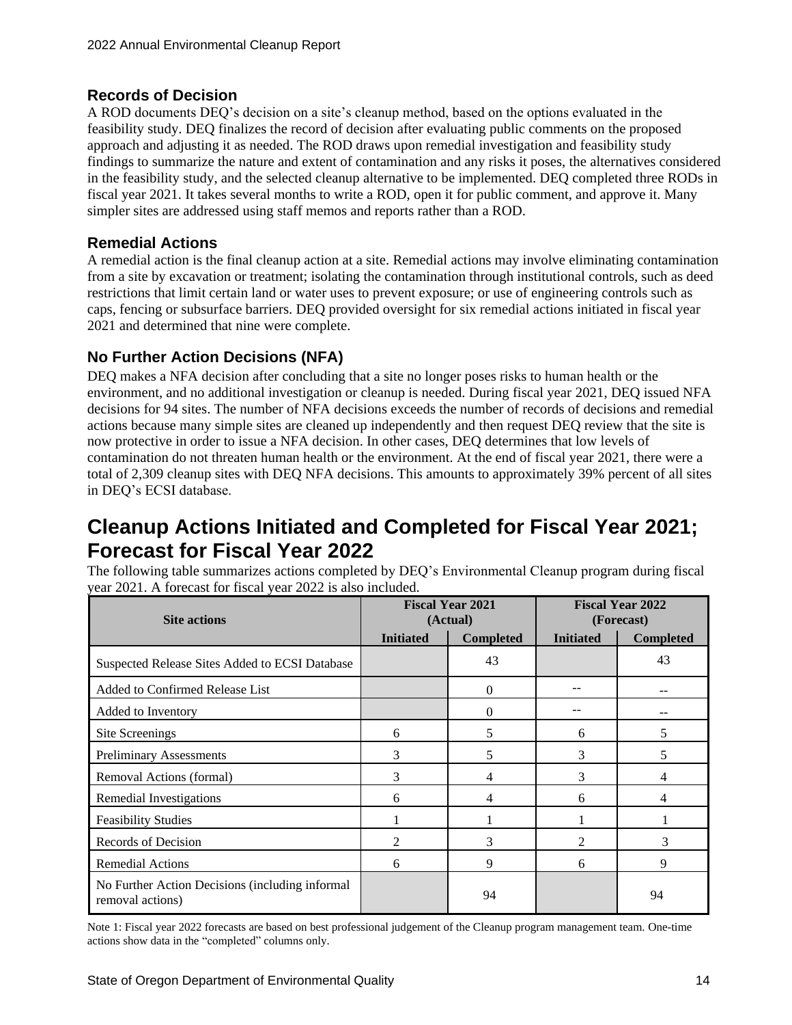### **Records of Decision**

A ROD documents DEQ's decision on a site's cleanup method, based on the options evaluated in the feasibility study. DEQ finalizes the record of decision after evaluating public comments on the proposed approach and adjusting it as needed. The ROD draws upon remedial investigation and feasibility study findings to summarize the nature and extent of contamination and any risks it poses, the alternatives considered in the feasibility study, and the selected cleanup alternative to be implemented. DEQ completed three RODs in fiscal year 2021. It takes several months to write a ROD, open it for public comment, and approve it. Many simpler sites are addressed using staff memos and reports rather than a ROD.

### **Remedial Actions**

A remedial action is the final cleanup action at a site. Remedial actions may involve eliminating contamination from a site by excavation or treatment; isolating the contamination through institutional controls, such as deed restrictions that limit certain land or water uses to prevent exposure; or use of engineering controls such as caps, fencing or subsurface barriers. DEQ provided oversight for six remedial actions initiated in fiscal year 2021 and determined that nine were complete.

### **No Further Action Decisions (NFA)**

DEQ makes a NFA decision after concluding that a site no longer poses risks to human health or the environment, and no additional investigation or cleanup is needed. During fiscal year 2021, DEQ issued NFA decisions for 94 sites. The number of NFA decisions exceeds the number of records of decisions and remedial actions because many simple sites are cleaned up independently and then request DEQ review that the site is now protective in order to issue a NFA decision. In other cases, DEQ determines that low levels of contamination do not threaten human health or the environment. At the end of fiscal year 2021, there were a total of 2,309 cleanup sites with DEQ NFA decisions. This amounts to approximately 39% percent of all sites in DEQ's ECSI database.

### **Cleanup Actions Initiated and Completed for Fiscal Year 2021; Forecast for Fiscal Year 2022**

The following table summarizes actions completed by DEQ's Environmental Cleanup program during fiscal year 2021. A forecast for fiscal year 2022 is also included.

|                                                                     | <b>Fiscal Year 2021</b><br><b>Site actions</b><br>(Actual) |                  | <b>Fiscal Year 2022</b><br>(Forecast) |                  |
|---------------------------------------------------------------------|------------------------------------------------------------|------------------|---------------------------------------|------------------|
|                                                                     | <b>Initiated</b>                                           | <b>Completed</b> | <b>Initiated</b>                      | <b>Completed</b> |
| Suspected Release Sites Added to ECSI Database                      |                                                            | 43               |                                       | 43               |
| Added to Confirmed Release List                                     |                                                            | $\mathbf{0}$     |                                       |                  |
| Added to Inventory                                                  |                                                            | $\theta$         |                                       |                  |
| Site Screenings                                                     | 6                                                          | 5                | 6                                     | 5                |
| <b>Preliminary Assessments</b>                                      | 3                                                          | 5                | 3                                     | 5                |
| Removal Actions (formal)                                            | 3                                                          | 4                | 3                                     | 4                |
| Remedial Investigations                                             | 6                                                          | 4                | 6                                     | 4                |
| <b>Feasibility Studies</b>                                          |                                                            |                  |                                       |                  |
| Records of Decision                                                 | 2                                                          | 3                | 2                                     | 3                |
| <b>Remedial Actions</b>                                             | 6                                                          | 9                | 6                                     | 9                |
| No Further Action Decisions (including informal<br>removal actions) |                                                            | 94               |                                       | 94               |

Note 1: Fiscal year 2022 forecasts are based on best professional judgement of the Cleanup program management team. One-time actions show data in the "completed" columns only.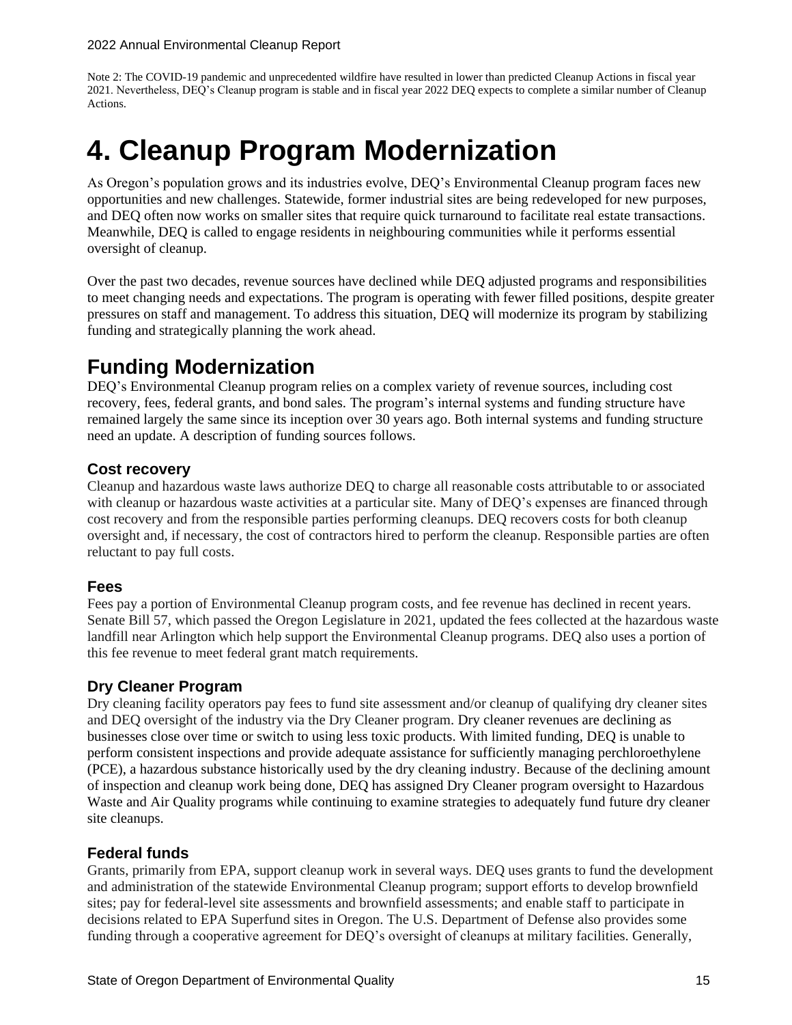Note 2: The COVID-19 pandemic and unprecedented wildfire have resulted in lower than predicted Cleanup Actions in fiscal year 2021. Nevertheless, DEQ's Cleanup program is stable and in fiscal year 2022 DEQ expects to complete a similar number of Cleanup Actions.

## **4. Cleanup Program Modernization**

As Oregon's population grows and its industries evolve, DEQ's Environmental Cleanup program faces new opportunities and new challenges. Statewide, former industrial sites are being redeveloped for new purposes, and DEQ often now works on smaller sites that require quick turnaround to facilitate real estate transactions. Meanwhile, DEQ is called to engage residents in neighbouring communities while it performs essential oversight of cleanup.

Over the past two decades, revenue sources have declined while DEQ adjusted programs and responsibilities to meet changing needs and expectations. The program is operating with fewer filled positions, despite greater pressures on staff and management. To address this situation, DEQ will modernize its program by stabilizing funding and strategically planning the work ahead.

### **Funding Modernization**

DEQ's Environmental Cleanup program relies on a complex variety of revenue sources, including cost recovery, fees, federal grants, and bond sales. The program's internal systems and funding structure have remained largely the same since its inception over 30 years ago. Both internal systems and funding structure need an update. A description of funding sources follows.

### **Cost recovery**

Cleanup and hazardous waste laws authorize DEQ to charge all reasonable costs attributable to or associated with cleanup or hazardous waste activities at a particular site. Many of DEQ's expenses are financed through cost recovery and from the responsible parties performing cleanups. DEQ recovers costs for both cleanup oversight and, if necessary, the cost of contractors hired to perform the cleanup. Responsible parties are often reluctant to pay full costs.

### **Fees**

Fees pay a portion of Environmental Cleanup program costs, and fee revenue has declined in recent years. Senate Bill 57, which passed the Oregon Legislature in 2021, updated the fees collected at the hazardous waste landfill near Arlington which help support the Environmental Cleanup programs. DEQ also uses a portion of this fee revenue to meet federal grant match requirements.

### **Dry Cleaner Program**

Dry cleaning facility operators pay fees to fund site assessment and/or cleanup of qualifying dry cleaner sites and DEQ oversight of the industry via the Dry Cleaner program. Dry cleaner revenues are declining as businesses close over time or switch to using less toxic products. With limited funding, DEQ is unable to perform consistent inspections and provide adequate assistance for sufficiently managing perchloroethylene (PCE), a hazardous substance historically used by the dry cleaning industry. Because of the declining amount of inspection and cleanup work being done, DEQ has assigned Dry Cleaner program oversight to Hazardous Waste and Air Quality programs while continuing to examine strategies to adequately fund future dry cleaner site cleanups.

### **Federal funds**

Grants, primarily from EPA, support cleanup work in several ways. DEQ uses grants to fund the development and administration of the statewide Environmental Cleanup program; support efforts to develop brownfield sites; pay for federal-level site assessments and brownfield assessments; and enable staff to participate in decisions related to EPA Superfund sites in Oregon. The U.S. Department of Defense also provides some funding through a cooperative agreement for DEQ's oversight of cleanups at military facilities. Generally,